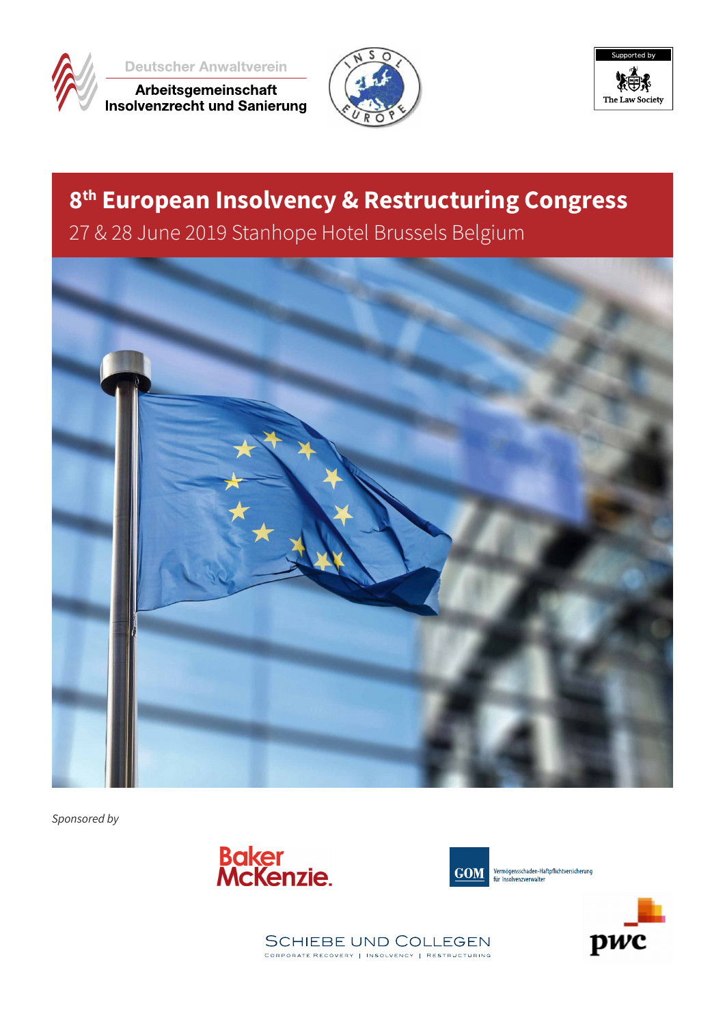

**Deutscher Anwaltverein** 

Arbeitsgemeinschaft<br>Insolvenzrecht und Sanierung





# **8th European Insolvency & Restructuring Congress**

27 & 28 June 2019 Stanhope Hotel Brussels Belgium



*Sponsored by*





Vermögensschaden-Haftpflichtversicherung für Insolvenzverwalte



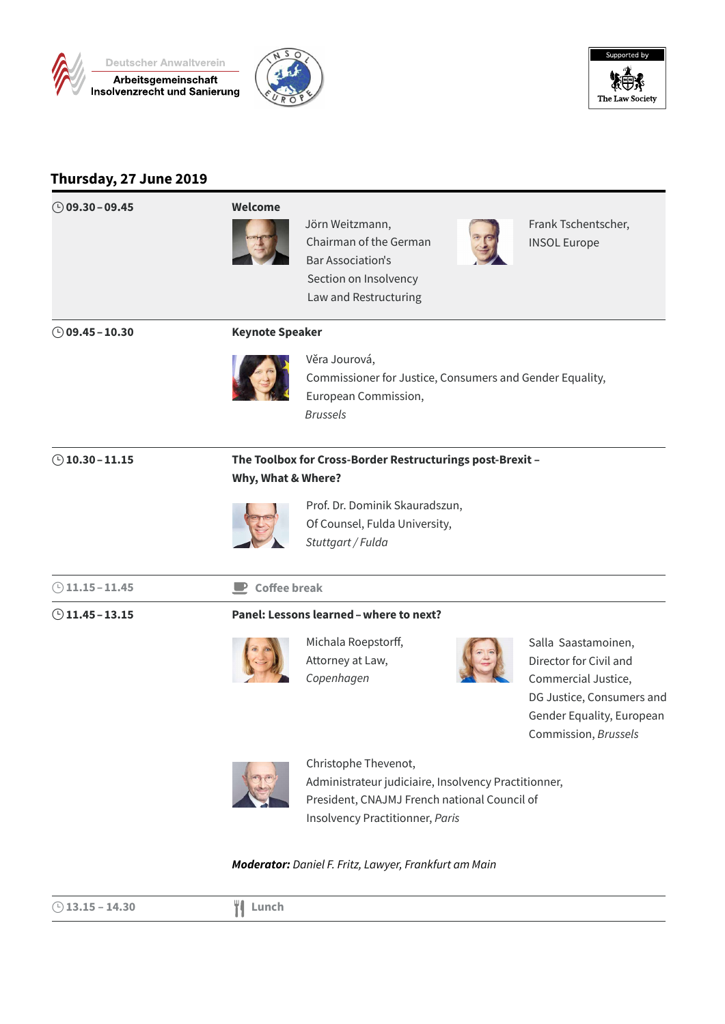





# **Thursday, 27 June 2019**

| $\bigcirc$ 09.30 - 09.45 | Welcome                     | Jörn Weitzmann,<br>Chairman of the German<br><b>Bar Association's</b><br>Section on Insolvency<br>Law and Restructuring                                         | Frank Tschentscher,<br><b>INSOL Europe</b>                                                                                                             |
|--------------------------|-----------------------------|-----------------------------------------------------------------------------------------------------------------------------------------------------------------|--------------------------------------------------------------------------------------------------------------------------------------------------------|
| $\circ$ 09.45 - 10.30    | <b>Keynote Speaker</b>      |                                                                                                                                                                 |                                                                                                                                                        |
|                          |                             | Věra Jourová,<br>Commissioner for Justice, Consumers and Gender Equality,<br>European Commission,<br><b>Brussels</b>                                            |                                                                                                                                                        |
| $①$ 10.30 - 11.15        | Why, What & Where?          | The Toolbox for Cross-Border Restructurings post-Brexit -                                                                                                       |                                                                                                                                                        |
|                          |                             | Prof. Dr. Dominik Skauradszun,<br>Of Counsel, Fulda University,<br>Stuttgart / Fulda                                                                            |                                                                                                                                                        |
| $\bigcirc$ 11.15 - 11.45 | $\blacksquare$ Coffee break |                                                                                                                                                                 |                                                                                                                                                        |
| $\odot$ 11.45 - 13.15    |                             | Panel: Lessons learned - where to next?                                                                                                                         |                                                                                                                                                        |
|                          |                             | Michala Roepstorff,<br>Attorney at Law,<br>Copenhagen                                                                                                           | Salla Saastamoinen,<br>Director for Civil and<br>Commercial Justice,<br>DG Justice, Consumers and<br>Gender Equality, European<br>Commission, Brussels |
|                          |                             | Christophe Thevenot,<br>Administrateur judiciaire, Insolvency Practitionner,<br>President, CNAJMJ French national Council of<br>Insolvency Practitionner, Paris |                                                                                                                                                        |

### *Moderator: Daniel F. Fritz, Lawyer, Frankfurt am Main*

| $\bigcirc$ 13.15 – 14.30 | ШF<br>Lunch |  |
|--------------------------|-------------|--|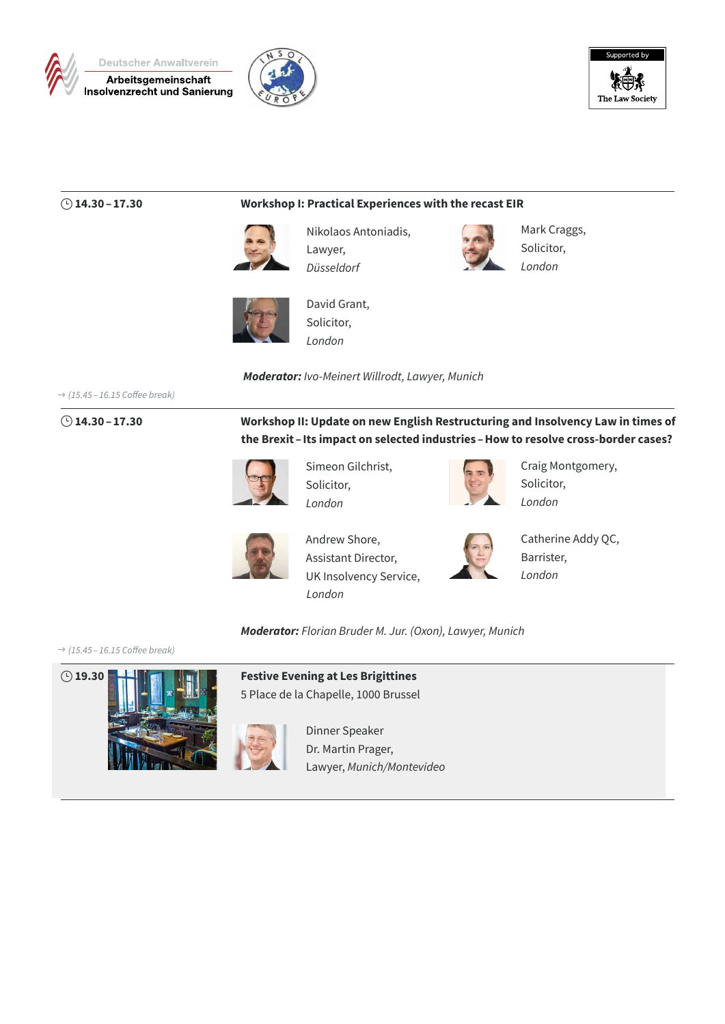





### } **14.30–17.30 Workshop I: Practical Experiences with the recast EIR**



Nikolaos Antoniadis, Lawyer, *Düsseldorf*



Mark Craggs, Solicitor, *London*



David Grant, Solicitor, *London*

*Moderator: Ivo-Meinert Willrodt, Lawyer, Munich*

\$ *(15.45 – 16.15 Coffee break)*

} **14.30–17.30 Workshop II: Update on new English Restructuring and Insolvency Law in times of the Brexit – Its impact on selected industries –How to resolve cross-border cases?**



Simeon Gilchrist, Solicitor, *London*



Craig Montgomery, Solicitor, *London*



Andrew Shore, Assistant Director, UK Insolvency Service, *London*



Catherine Addy QC, Barrister, *London*

*Moderator: Florian Bruder M. Jur. (Oxon), Lawyer, Munich*

\$ *(15.45 – 16.15 Coffee break)*



5 Place de la Chapelle, 1000 Brussel

Dinner Speaker Dr. Martin Prager, Lawyer, *Munich/Montevideo*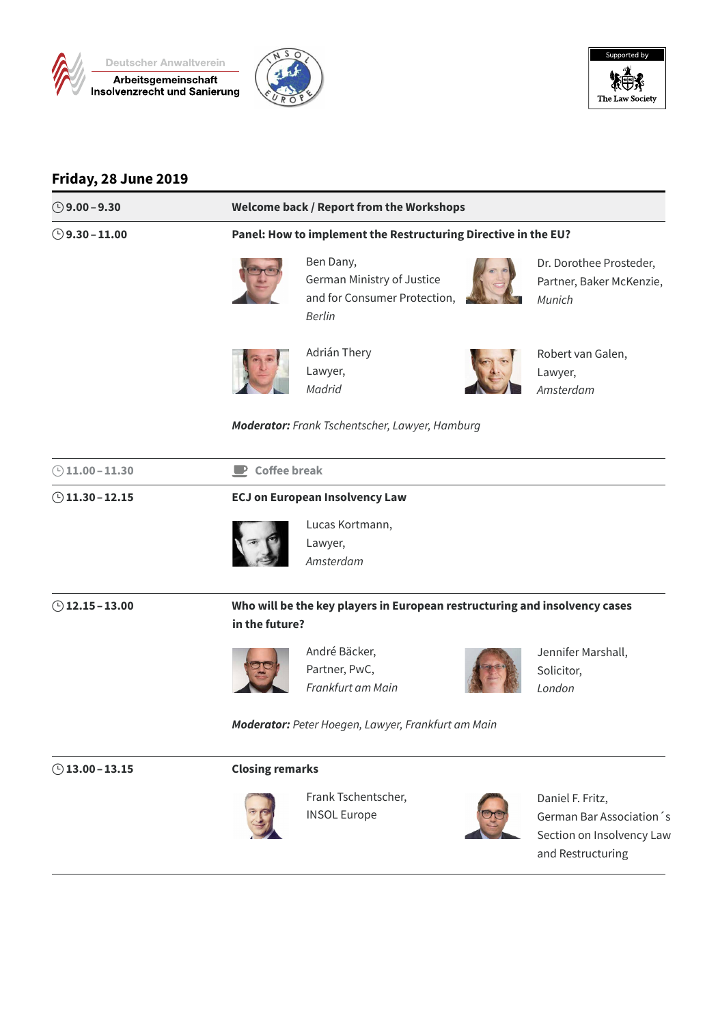





## **Friday, 28 June 2019**

| ◯ 9.00 – 9.30            |                                                                            | Welcome back / Report from the Workshops                                                 |                                                                                                 |  |  |
|--------------------------|----------------------------------------------------------------------------|------------------------------------------------------------------------------------------|-------------------------------------------------------------------------------------------------|--|--|
| $\bigcirc$ 9.30 – 11.00  |                                                                            | Panel: How to implement the Restructuring Directive in the EU?                           |                                                                                                 |  |  |
|                          |                                                                            | Ben Dany,<br>German Ministry of Justice<br>and for Consumer Protection,<br><b>Berlin</b> | Dr. Dorothee Prosteder,<br>Partner, Baker McKenzie,<br>Munich                                   |  |  |
|                          |                                                                            | Adrián Thery<br>Lawyer,<br>Madrid                                                        | Robert van Galen,<br>Lawyer,<br>Amsterdam                                                       |  |  |
|                          |                                                                            | <b>Moderator:</b> Frank Tschentscher, Lawyer, Hamburg                                    |                                                                                                 |  |  |
| $\bigcirc$ 11.00 - 11.30 |                                                                            | $\blacksquare$ Coffee break                                                              |                                                                                                 |  |  |
| $\bigcirc$ 11.30 - 12.15 | <b>ECJ on European Insolvency Law</b>                                      |                                                                                          |                                                                                                 |  |  |
|                          |                                                                            | Lucas Kortmann,<br>Lawyer,<br>Amsterdam                                                  |                                                                                                 |  |  |
| $\odot$ 12.15 – 13.00    | Who will be the key players in European restructuring and insolvency cases |                                                                                          |                                                                                                 |  |  |
|                          | in the future?                                                             |                                                                                          |                                                                                                 |  |  |
|                          |                                                                            | André Bäcker,<br>Partner, PwC,<br>Frankfurt am Main                                      | Jennifer Marshall,<br>Solicitor,<br>London                                                      |  |  |
|                          |                                                                            | Moderator: Peter Hoegen, Lawyer, Frankfurt am Main                                       |                                                                                                 |  |  |
| $①$ 13.00 - 13.15        | <b>Closing remarks</b>                                                     |                                                                                          |                                                                                                 |  |  |
|                          |                                                                            | Frank Tschentscher,<br><b>INSOL Europe</b>                                               | Daniel F. Fritz,<br>German Bar Association 's<br>Section on Insolvency Law<br>and Restructuring |  |  |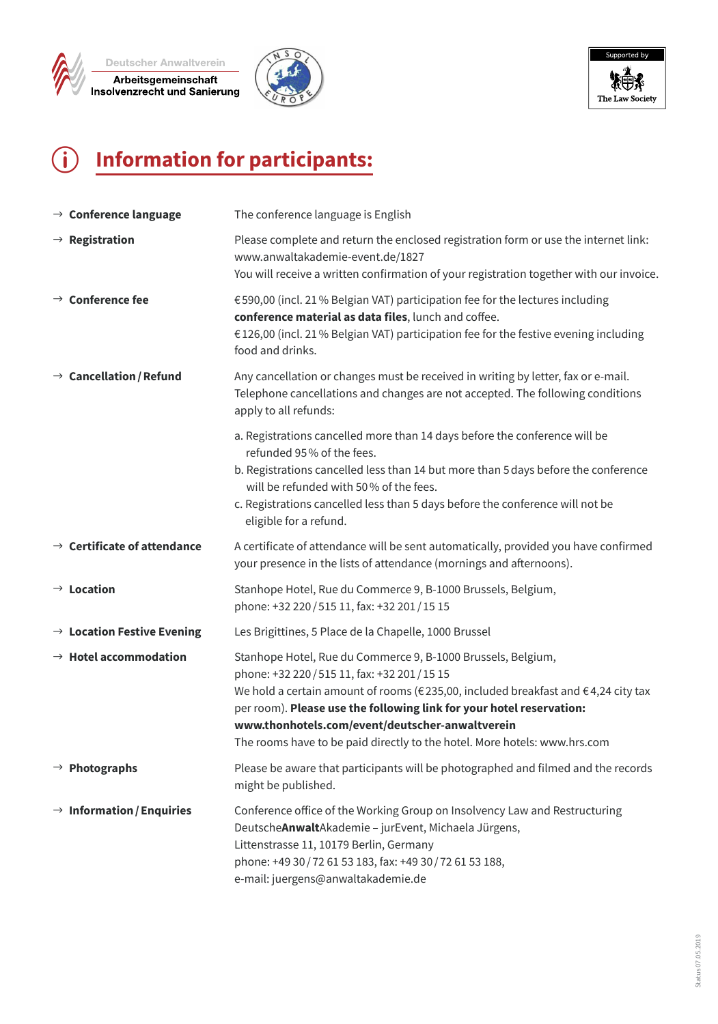





# p **Information for participants:**

| $\rightarrow$ Conference language       | The conference language is English                                                                                                                                                                                                                                                                                                                                                                                              |
|-----------------------------------------|---------------------------------------------------------------------------------------------------------------------------------------------------------------------------------------------------------------------------------------------------------------------------------------------------------------------------------------------------------------------------------------------------------------------------------|
| $\rightarrow$ Registration              | Please complete and return the enclosed registration form or use the internet link:<br>www.anwaltakademie-event.de/1827<br>You will receive a written confirmation of your registration together with our invoice.                                                                                                                                                                                                              |
| $\rightarrow$ Conference fee            | €590,00 (incl. 21% Belgian VAT) participation fee for the lectures including<br>conference material as data files, lunch and coffee.<br>€126,00 (incl. 21% Belgian VAT) participation fee for the festive evening including<br>food and drinks.                                                                                                                                                                                 |
| $\rightarrow$ Cancellation / Refund     | Any cancellation or changes must be received in writing by letter, fax or e-mail.<br>Telephone cancellations and changes are not accepted. The following conditions<br>apply to all refunds:                                                                                                                                                                                                                                    |
|                                         | a. Registrations cancelled more than 14 days before the conference will be<br>refunded 95% of the fees.<br>b. Registrations cancelled less than 14 but more than 5 days before the conference<br>will be refunded with 50% of the fees.<br>c. Registrations cancelled less than 5 days before the conference will not be<br>eligible for a refund.                                                                              |
| $\rightarrow$ Certificate of attendance | A certificate of attendance will be sent automatically, provided you have confirmed<br>your presence in the lists of attendance (mornings and afternoons).                                                                                                                                                                                                                                                                      |
| $\rightarrow$ Location                  | Stanhope Hotel, Rue du Commerce 9, B-1000 Brussels, Belgium,<br>phone: +32 220 / 515 11, fax: +32 201 / 15 15                                                                                                                                                                                                                                                                                                                   |
| $\rightarrow$ Location Festive Evening  | Les Brigittines, 5 Place de la Chapelle, 1000 Brussel                                                                                                                                                                                                                                                                                                                                                                           |
| $\rightarrow$ Hotel accommodation       | Stanhope Hotel, Rue du Commerce 9, B-1000 Brussels, Belgium,<br>phone: +32 220 / 515 11, fax: +32 201 / 15 15<br>We hold a certain amount of rooms ( $\epsilon$ 235,00, included breakfast and $\epsilon$ 4,24 city tax<br>per room). Please use the following link for your hotel reservation:<br>www.thonhotels.com/event/deutscher-anwaltverein<br>The rooms have to be paid directly to the hotel. More hotels: www.hrs.com |
| $\rightarrow$ Photographs               | Please be aware that participants will be photographed and filmed and the records<br>might be published.                                                                                                                                                                                                                                                                                                                        |
| $\rightarrow$ Information / Enquiries   | Conference office of the Working Group on Insolvency Law and Restructuring<br>DeutscheAnwaltAkademie - jurEvent, Michaela Jürgens,<br>Littenstrasse 11, 10179 Berlin, Germany<br>phone: +49 30 / 72 61 53 183, fax: +49 30 / 72 61 53 188,<br>e-mail: juergens@anwaltakademie.de                                                                                                                                                |